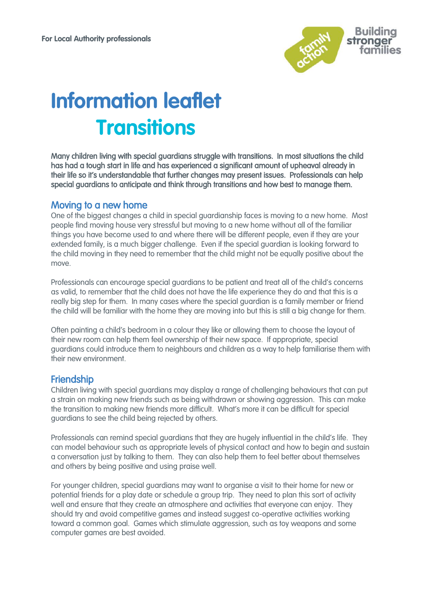

# **Information leaflet Transitions**

Many children living with special guardians struggle with transitions. In most situations the child has had a tough start in life and has experienced a significant amount of upheaval already in their life so it's understandable that further changes may present issues. Professionals can help special guardians to anticipate and think through transitions and how best to manage them.

#### Moving to a new home

One of the biggest changes a child in special guardianship faces is moving to a new home. Most people find moving house very stressful but moving to a new home without all of the familiar things you have become used to and where there will be different people, even if they are your extended family, is a much bigger challenge. Even if the special guardian is looking forward to the child moving in they need to remember that the child might not be equally positive about the move.

Professionals can encourage special guardians to be patient and treat all of the child's concerns as valid, to remember that the child does not have the life experience they do and that this is a really big step for them. In many cases where the special guardian is a family member or friend the child will be familiar with the home they are moving into but this is still a big change for them.

Often painting a child's bedroom in a colour they like or allowing them to choose the layout of their new room can help them feel ownership of their new space. If appropriate, special guardians could introduce them to neighbours and children as a way to help familiarise them with their new environment.

### Friendship

Children living with special guardians may display a range of challenging behaviours that can put a strain on making new friends such as being withdrawn or showing aggression. This can make the transition to making new friends more difficult. What's more it can be difficult for special guardians to see the child being rejected by others.

Professionals can remind special guardians that they are hugely influential in the child's life. They can model behaviour such as appropriate levels of physical contact and how to begin and sustain a conversation just by talking to them. They can also help them to feel better about themselves and others by being positive and using praise well.

For younger children, special guardians may want to organise a visit to their home for new or potential friends for a play date or schedule a group trip. They need to plan this sort of activity well and ensure that they create an atmosphere and activities that everyone can enjoy. They should try and avoid competitive games and instead suggest co-operative activities working toward a common goal. Games which stimulate aggression, such as toy weapons and some computer games are best avoided.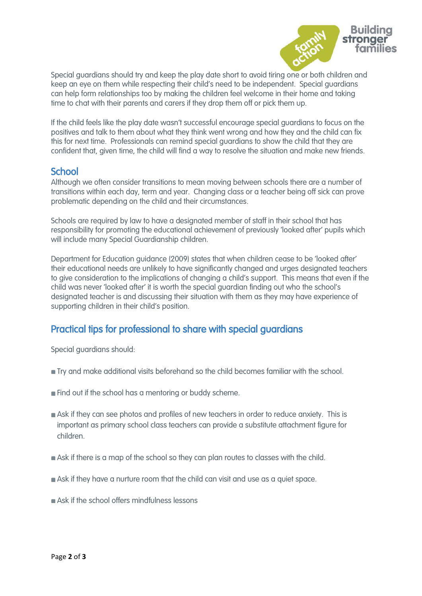

Special guardians should try and keep the play date short to avoid tiring one or both children and keep an eye on them while respecting their child's need to be independent. Special guardians can help form relationships too by making the children feel welcome in their home and taking time to chat with their parents and carers if they drop them off or pick them up.

If the child feels like the play date wasn't successful encourage special guardians to focus on the positives and talk to them about what they think went wrong and how they and the child can fix this for next time. Professionals can remind special guardians to show the child that they are confident that, given time, the child will find a way to resolve the situation and make new friends.

### **School**

Although we often consider transitions to mean moving between schools there are a number of transitions within each day, term and year. Changing class or a teacher being off sick can prove problematic depending on the child and their circumstances.

Schools are required by law to have a designated member of staff in their school that has responsibility for promoting the educational achievement of previously 'looked after' pupils which will include many Special Guardianship children.

Department for Education guidance (2009) states that when children cease to be 'looked after' their educational needs are unlikely to have significantly changed and urges designated teachers to give consideration to the implications of changing a child's support. This means that even if the child was never 'looked after' it is worth the special guardian finding out who the school's designated teacher is and discussing their situation with them as they may have experience of supporting children in their child's position.

# Practical tips for professional to share with special guardians

Special guardians should:

- Try and make additional visits beforehand so the child becomes familiar with the school.
- **Find out if the school has a mentoring or buddy scheme.**
- Ask if they can see photos and profiles of new teachers in order to reduce anxiety. This is important as primary school class teachers can provide a substitute attachment figure for children.
- Ask if there is a map of the school so they can plan routes to classes with the child.
- Ask if they have a nurture room that the child can visit and use as a quiet space.
- Ask if the school offers mindfulness lessons